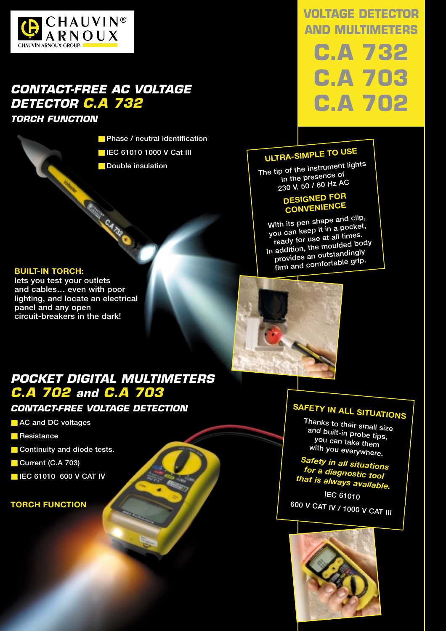

## *CONTACT-FREE AC VOLTAGE DETECTOR C.A 732*

**Children CA TOP O** 

*TORCH FUNCTION*

- **Phase / neutral identification**
- **IEC 61010 1000 V Cat III**
- **Double insulation**

# **VOLTAGE DETECTOR AND MULTIMETERS C.A 732**

# **C.A 703 C.A 702**

## **ULTRA-SIMPLE TO USE**

**The tip of the instrument lights in the presence of 230 V, 50 / 60 Hz AC** 

#### **DESIGNED FOR CONVENIENCE**

**With its pen shape and clip, you can keep it in a pocket, ready for use at all times. In addition, the moulded body provides an outstandingly firm and comfortable grip.**

#### **BUILT-IN TORCH:**

**lets you test your outlets and cables… even with poor lighting, and locate an electrical panel and any open circuit-breakers in the dark!**



### *POCKET DIGITAL MULTIMETERS C.A 702 and C.A 703*

#### *CONTACT-FREE VOLTAGE DETECTION*

- **AC and DC voltages**
- **Resistance**
- Continuity and diode tests.
- **Current (C.A 703)**
- **E IEC 61010 600 V CAT IV**

#### **TORCH FUNCTION**

# **SAFETY IN ALL SITUATIONS**

**Thanks to their small size and built-in probe tips, you can take them with you everywhere.**

*Safety in all situations for a diagnostic tool that is always available.*

**IEC 61010 600 V CAT IV / 1000 V CAT III**